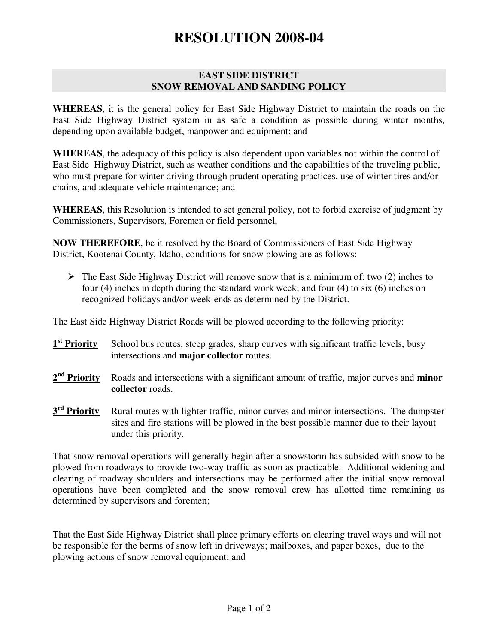## **RESOLUTION 2008-04**

## **EAST SIDE DISTRICT SNOW REMOVAL AND SANDING POLICY**

**WHEREAS**, it is the general policy for East Side Highway District to maintain the roads on the East Side Highway District system in as safe a condition as possible during winter months, depending upon available budget, manpower and equipment; and

**WHEREAS**, the adequacy of this policy is also dependent upon variables not within the control of East Side Highway District, such as weather conditions and the capabilities of the traveling public, who must prepare for winter driving through prudent operating practices, use of winter tires and/or chains, and adequate vehicle maintenance; and

**WHEREAS**, this Resolution is intended to set general policy, not to forbid exercise of judgment by Commissioners, Supervisors, Foremen or field personnel,

**NOW THEREFORE**, be it resolved by the Board of Commissioners of East Side Highway District, Kootenai County, Idaho, conditions for snow plowing are as follows:

 $\triangleright$  The East Side Highway District will remove snow that is a minimum of: two (2) inches to four (4) inches in depth during the standard work week; and four (4) to six (6) inches on recognized holidays and/or week-ends as determined by the District.

The East Side Highway District Roads will be plowed according to the following priority:

- 1<sup>st</sup> Priority School bus routes, steep grades, sharp curves with significant traffic levels, busy intersections and **major collector** routes.
- 2<sup>nd</sup> Priority Roads and intersections with a significant amount of traffic, major curves and **minor collector** roads.
- 3<sup>rd</sup> Priority Rural routes with lighter traffic, minor curves and minor intersections. The dumpster sites and fire stations will be plowed in the best possible manner due to their layout under this priority.

That snow removal operations will generally begin after a snowstorm has subsided with snow to be plowed from roadways to provide two-way traffic as soon as practicable. Additional widening and clearing of roadway shoulders and intersections may be performed after the initial snow removal operations have been completed and the snow removal crew has allotted time remaining as determined by supervisors and foremen;

That the East Side Highway District shall place primary efforts on clearing travel ways and will not be responsible for the berms of snow left in driveways; mailboxes, and paper boxes, due to the plowing actions of snow removal equipment; and